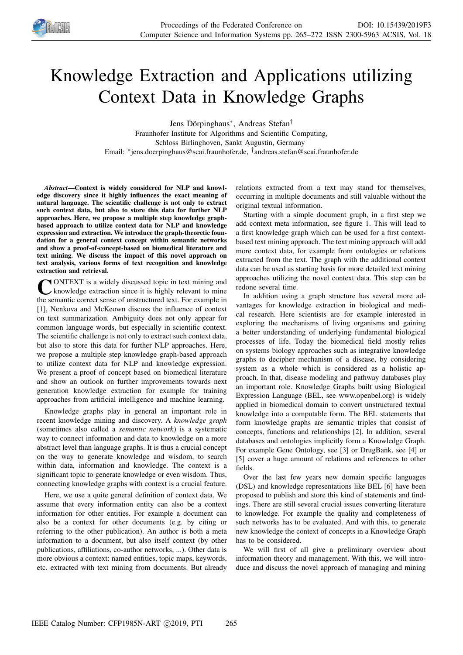

# Knowledge Extraction and Applications utilizing Context Data in Knowledge Graphs

Jens Dörpinghaus<sup>∗</sup> , Andreas Stefan†

Fraunhofer Institute for Algorithms and Scientific Computing, Schloss Birlinghoven, Sankt Augustin, Germany Email: <sup>∗</sup> jens.doerpinghaus@scai.fraunhofer.de, † andreas.stefan@scai.fraunhofer.de

*Abstract*—Context is widely considered for NLP and knowledge discovery since it highly influences the exact meaning of natural language. The scientific challenge is not only to extract such context data, but also to store this data for further NLP approaches. Here, we propose a multiple step knowledge graphbased approach to utilize context data for NLP and knowledge expression and extraction. We introduce the graph-theoretic foundation for a general context concept within semantic networks and show a proof-of-concept-based on biomedical literature and text mining. We discuss the impact of this novel approach on text analysis, various forms of text recognition and knowledge extraction and retrieval.

CONTEXT is a widely discussed topic in text mining and<br>the semantic correct sense of unstructured text. For example in ONTEXT is a widely discussed topic in text mining and knowledge extraction since it is highly relevant to mine [1], Nenkova and McKeown discuss the influence of context on text summarization. Ambiguity does not only appear for common language words, but especially in scientific context. The scientific challenge is not only to extract such context data, but also to store this data for further NLP approaches. Here, we propose a multiple step knowledge graph-based approach to utilize context data for NLP and knowledge expression. We present a proof of concept based on biomedical literature and show an outlook on further improvements towards next generation knowledge extraction for example for training approaches from artificial intelligence and machine learning.

Knowledge graphs play in general an important role in recent knowledge mining and discovery. A *knowledge graph* (sometimes also called a *semantic network*) is a systematic way to connect information and data to knowledge on a more abstract level than language graphs. It is thus a crucial concept on the way to generate knowledge and wisdom, to search within data, information and knowledge. The context is a significant topic to generate knowledge or even wisdom. Thus, connecting knowledge graphs with context is a crucial feature.

Here, we use a quite general definition of context data. We assume that every information entity can also be a context information for other entities. For example a document can also be a context for other documents (e.g. by citing or referring to the other publication). An author is both a meta information to a document, but also itself context (by other publications, affiliations, co-author networks, ...). Other data is more obvious a context: named entities, topic maps, keywords, etc. extracted with text mining from documents. But already

relations extracted from a text may stand for themselves, occurring in multiple documents and still valuable without the original textual information.

Starting with a simple document graph, in a first step we add context meta information, see figure 1. This will lead to a first knowledge graph which can be used for a first contextbased text mining approach. The text mining approach will add more context data, for example from ontologies or relations extracted from the text. The graph with the additional context data can be used as starting basis for more detailed text mining approaches utilizing the novel context data. This step can be redone several time.

In addition using a graph structure has several more advantages for knowledge extraction in biological and medical research. Here scientists are for example interested in exploring the mechanisms of living organisms and gaining a better understanding of underlying fundamental biological processes of life. Today the biomedical field mostly relies on systems biology approaches such as integrative knowledge graphs to decipher mechanism of a disease, by considering system as a whole which is considered as a holistic approach. In that, disease modeling and pathway databases play an important role. Knowledge Graphs built using Biological Expression Language (BEL, see www.openbel.org) is widely applied in biomedical domain to convert unstructured textual knowledge into a computable form. The BEL statements that form knowledge graphs are semantic triples that consist of concepts, functions and relationships [2]. In addition, several databases and ontologies implicitly form a Knowledge Graph. For example Gene Ontology, see [3] or DrugBank, see [4] or [5] cover a huge amount of relations and references to other fields.

Over the last few years new domain specific languages (DSL) and knowledge representations like BEL [6] have been proposed to publish and store this kind of statements and findings. There are still several crucial issues converting literature to knowledge. For example the quality and completeness of such networks has to be evaluated. And with this, to generate new knowledge the context of concepts in a Knowledge Graph has to be considered.

We will first of all give a preliminary overview about information theory and management. With this, we will introduce and discuss the novel approach of managing and mining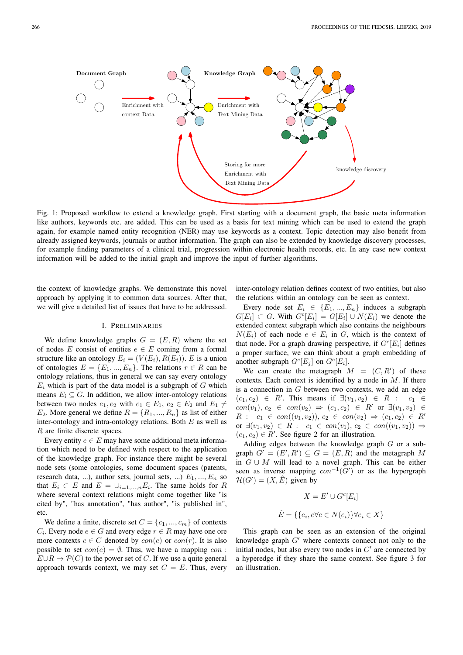

Fig. 1: Proposed workflow to extend a knowledge graph. First starting with a document graph, the basic meta information like authors, keywords etc. are added. This can be used as a basis for text mining which can be used to extend the graph again, for example named entity recognition (NER) may use keywords as a context. Topic detection may also benefit from already assigned keywords, journals or author information. The graph can also be extended by knowledge discovery processes, for example finding parameters of a clinical trial, progression within electronic health records, etc. In any case new context information will be added to the initial graph and improve the input of further algorithms.

the context of knowledge graphs. We demonstrate this novel approach by applying it to common data sources. After that, we will give a detailed list of issues that have to be addressed.

#### I. PRELIMINARIES

We define knowledge graphs  $G = (E, R)$  where the set of nodes E consist of entities  $e \in E$  coming from a formal structure like an ontology  $E_i = (V(E_i), R(E_i))$ . E is a union of ontologies  $E = \{E_1, ..., E_n\}$ . The relations  $r \in R$  can be ontology relations, thus in general we can say every ontology  $E_i$  which is part of the data model is a subgraph of  $G$  which means  $E_i \subseteq G$ . In addition, we allow inter-ontology relations between two nodes  $e_1, e_2$  with  $e_1 \in E_1$ ,  $e_2 \in E_2$  and  $E_1 \neq$  $E_2$ . More general we define  $R = \{R_1, ..., R_n\}$  as list of either inter-ontology and intra-ontology relations. Both  $E$  as well as R are finite discrete spaces.

Every entity  $e \in E$  may have some additional meta information which need to be defined with respect to the application of the knowledge graph. For instance there might be several node sets (some ontologies, some document spaces (patents, research data, ...), author sets, journal sets, ...)  $E_1, ..., E_n$  so that  $E_i \subset E$  and  $E = \cup_{i=1,...,n} E_i$ . The same holds for R where several context relations might come together like "is cited by", "has annotation", "has author", "is published in", etc.

We define a finite, discrete set  $C = \{c_1, ..., c_m\}$  of contexts  $C_i$ . Every node  $e \in G$  and every edge  $r \in R$  may have one ore more contexts  $c \in C$  denoted by  $con(e)$  or  $con(r)$ . It is also possible to set  $con(e) = \emptyset$ . Thus, we have a mapping con:  $E \cup R \to \mathcal{P}(C)$  to the power set of C. If we use a quite general approach towards context, we may set  $C = E$ . Thus, every

inter-ontology relation defines context of two entities, but also the relations within an ontology can be seen as context.

Every node set  $E_i \in \{E_1, ..., E_n\}$  induces a subgraph  $G[E_i] \subset G$ . With  $G^c[E_i] = G[E_i] \cup N(E_i)$  we denote the extended context subgraph which also contains the neighbours  $N(E_i)$  of each node  $e \in E_i$  in G, which is the context of that node. For a graph drawing perspective, if  $G<sup>c</sup>[E<sub>i</sub>]$  defines a proper surface, we can think about a graph embedding of another subgraph  $G^c[E_j]$  on  $G^c[E_i]$ .

We can create the metagraph  $M = (C, R')$  of these contexts. Each context is identified by a node in  $M$ . If there is a connection in  $G$  between two contexts, we add an edge  $(c_1, c_2) \in R'$ . This means if  $\exists (v_1, v_2) \in R : c_1 \in$  $con(v_1), c_2 \in con(v_2) \Rightarrow (c_1, c_2) \in R'$  or  $\exists (v_1, v_2) \in$  $R : c_1 \in con((v_1, v_2)), c_2 \in con(v_2) \Rightarrow (c_1, c_2) \in R'$ or  $\exists (v_1, v_2) \in R : c_1 \in con(v_1), c_2 \in con((v_1, v_2)) \Rightarrow$  $(c_1, c_2) \in R'$ . See figure 2 for an illustration.

Adding edges between the knowledge graph G or a subgraph  $G' = (E', R') \subseteq G = (E, R)$  and the metagraph M in  $G \cup M$  will lead to a novel graph. This can be either seen as inverse mapping  $con^{-1}(G')$  or as the hypergraph  $\mathcal{H}(G') = (X, \hat{E})$  given by

$$
X = E' \cup G^c[E_i]
$$
  

$$
\hat{E} = \{\{e_i, e \forall e \in N(e_i)\} \forall e_i \in X\}
$$

This graph can be seen as an extension of the original knowledge graph  $G'$  where contexts connect not only to the initial nodes, but also every two nodes in  $G'$  are connected by a hyperedge if they share the same context. See figure 3 for an illustration.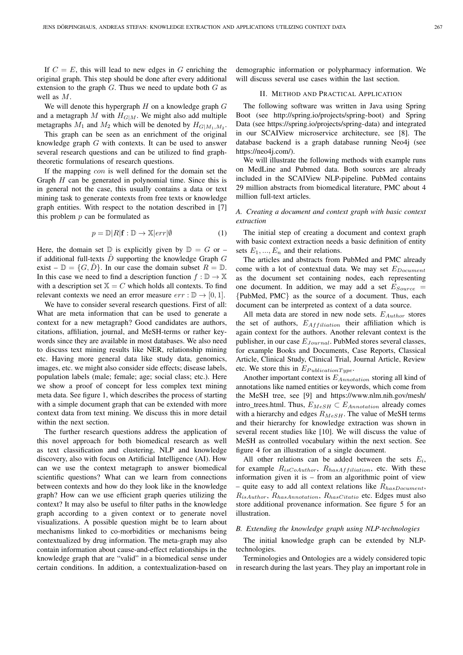If  $C = E$ , this will lead to new edges in G enriching the original graph. This step should be done after every additional extension to the graph  $G$ . Thus we need to update both  $G$  as well as M.

We will denote this hypergraph  $H$  on a knowledge graph  $G$ and a metagraph M with  $H_{G|M}$ . We might also add multiple metagraphs  $M_1$  and  $M_2$  which will be denoted by  $H_{G|M_1,M_2}$ .

This graph can be seen as an enrichment of the original knowledge graph G with contexts. It can be used to answer several research questions and can be utilized to find graphtheoretic formulations of research questions.

If the mapping con is well defined for the domain set the Graph  $H$  can be generated in polynomial time. Since this is in general not the case, this usually contains a data or text mining task to generate contexts from free texts or knowledge graph entities. With respect to the notation described in [7] this problem  $p$  can be formulated as

$$
p = \mathbb{D}[R|\mathbf{f} : \mathbb{D} \to \mathbb{X}|err|\emptyset \tag{1}
$$

Here, the domain set  $\mathbb D$  is explicitly given by  $\mathbb D = G$  or – if additional full-texts  $\hat{D}$  supporting the knowledge Graph G exist –  $\mathbb{D} = \{G, D\}$ . In our case the domain subset  $R = \mathbb{D}$ . In this case we need to find a description function  $f : \mathbb{D} \to \mathbb{X}$ with a description set  $X = C$  which holds all contexts. To find relevant contexts we need an error measure  $err : \mathbb{D} \to [0, 1]$ .

We have to consider several research questions. First of all: What are meta information that can be used to generate a context for a new metagraph? Good candidates are authors, citations, affiliation, journal, and MeSH-terms or rather keywords since they are available in most databases. We also need to discuss text mining results like NER, relationship mining etc. Having more general data like study data, genomics, images, etc. we might also consider side effects; disease labels, population labels (male; female; age; social class; etc.). Here we show a proof of concept for less complex text mining meta data. See figure 1, which describes the process of starting with a simple document graph that can be extended with more context data from text mining. We discuss this in more detail within the next section.

The further research questions address the application of this novel approach for both biomedical research as well as text classification and clustering, NLP and knowledge discovery, also with focus on Artificial Intelligence (AI). How can we use the context metagraph to answer biomedical scientific questions? What can we learn from connections between contexts and how do they look like in the knowledge graph? How can we use efficient graph queries utilizing the context? It may also be useful to filter paths in the knowledge graph according to a given context or to generate novel visualizations. A possible question might be to learn about mechanisms linked to co-morbidities or mechanisms being contextualized by drug information. The meta-graph may also contain information about cause-and-effect relationships in the knowledge graph that are "valid" in a biomedical sense under certain conditions. In addition, a contextualization-based on

demographic information or polypharmacy information. We will discuss several use cases within the last section.

#### II. METHOD AND PRACTICAL APPLICATION

The following software was written in Java using Spring Boot (see http://spring.io/projects/spring-boot) and Spring Data (see https://spring.io/projects/spring-data) and integrated in our SCAIView microservice architecture, see [8]. The database backend is a graph database running Neo4j (see https://neo4j.com/).

We will illustrate the following methods with example runs on MedLine and Pubmed data. Both sources are already included in the SCAIView NLP-pipeline. PubMed contains 29 million abstracts from biomedical literature, PMC about 4 million full-text articles.

# *A. Creating a document and context graph with basic context extraction*

The initial step of creating a document and context graph with basic context extraction needs a basic definition of entity sets  $E_1, ..., E_n$  and their relations.

The articles and abstracts from PubMed and PMC already come with a lot of contextual data. We may set  $E_{Document}$ as the document set containing nodes, each representing one document. In addition, we may add a set  $E_{Source}$  = {PubMed, PMC} as the source of a document. Thus, each document can be interpreted as context of a data source.

All meta data are stored in new node sets.  $E_{Author}$  stores the set of authors,  $E_{Affiliation}$  their affiliation which is again context for the authors. Another relevant context is the publisher, in our case  $E_{Journal}$ . PubMed stores several classes, for example Books and Documents, Case Reports, Classical Article, Clinical Study, Clinical Trial, Journal Article, Review etc. We store this in  $E_{Publication Type}$ .

Another important context is  $E_{Annotation}$  storing all kind of annotations like named entities or keywords, which come from the MeSH tree, see [9] and https://www.nlm.nih.gov/mesh/ intro\_trees.html. Thus,  $E_{MeSH} \subset E_{Annotation}$  already comes with a hierarchy and edges  $R_{MeSH}$ . The value of MeSH terms and their hierarchy for knowledge extraction was shown in several recent studies like [10]. We will discuss the value of MeSH as controlled vocabulary within the next section. See figure 4 for an illustration of a single document.

All other relations can be added between the sets  $E_i$ , for example  $R_{isCoAuthor}$ ,  $R_{hasAffiliation}$ , etc. With these information given it is – from an algorithmic point of view – quite easy to add all context relations like  $R_{hasDocument}$ ,  $R_{isAuthor}, R_{hasAnnotation}, R_{hasCitation}$ ,  $R_{hasCitation}$  etc. Edges must also store additional provenance information. See figure 5 for an illustration.

#### *B. Extending the knowledge graph using NLP-technologies*

The initial knowledge graph can be extended by NLPtechnologies.

Terminologies and Ontologies are a widely considered topic in research during the last years. They play an important role in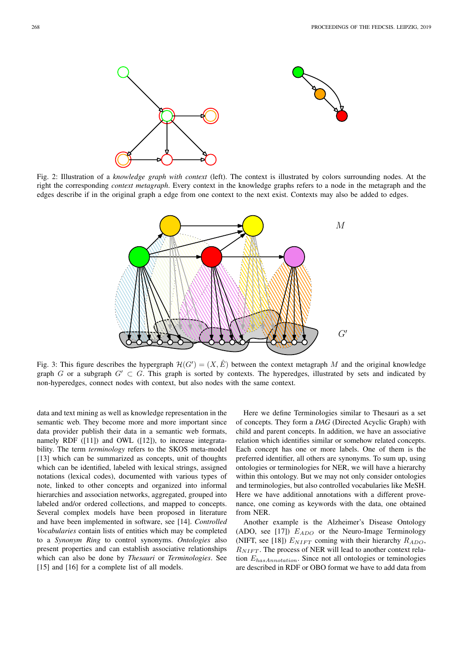

Fig. 2: Illustration of a *knowledge graph with context* (left). The context is illustrated by colors surrounding nodes. At the right the corresponding *context metagraph*. Every context in the knowledge graphs refers to a node in the metagraph and the edges describe if in the original graph a edge from one context to the next exist. Contexts may also be added to edges.



Fig. 3: This figure describes the hypergraph  $\mathcal{H}(G') = (X, \hat{E})$  between the context metagraph M and the original knowledge graph G or a subgraph  $G' \subset G$ . This graph is sorted by contexts. The hyperedges, illustrated by sets and indicated by non-hyperedges, connect nodes with context, but also nodes with the same context.

data and text mining as well as knowledge representation in the semantic web. They become more and more important since data provider publish their data in a semantic web formats, namely RDF ([11]) and OWL ([12]), to increase integratability. The term *terminology* refers to the SKOS meta-model [13] which can be summarized as concepts, unit of thoughts which can be identified, labeled with lexical strings, assigned notations (lexical codes), documented with various types of note, linked to other concepts and organized into informal hierarchies and association networks, aggregated, grouped into labeled and/or ordered collections, and mapped to concepts. Several complex models have been proposed in literature and have been implemented in software, see [14]. *Controlled Vocabularies* contain lists of entities which may be completed to a *Synonym Ring* to control synonyms. *Ontologies* also present properties and can establish associative relationships which can also be done by *Thesauri* or *Terminologies*. See [15] and [16] for a complete list of all models.

Here we define Terminologies similar to Thesauri as a set of concepts. They form a *DAG* (Directed Acyclic Graph) with child and parent concepts. In addition, we have an associative relation which identifies similar or somehow related concepts. Each concept has one or more labels. One of them is the preferred identifier, all others are synonyms. To sum up, using ontologies or terminologies for NER, we will have a hierarchy within this ontology. But we may not only consider ontologies and terminologies, but also controlled vocabularies like MeSH. Here we have additional annotations with a different provenance, one coming as keywords with the data, one obtained from NER.

Another example is the Alzheimer's Disease Ontology (ADO, see [17])  $E_{ADO}$  or the Neuro-Image Terminology (NIFT, see [18])  $E_{NIFT}$  coming with their hierarchy  $R_{ADO}$ ,  $R_{NIFT}$ . The process of NER will lead to another context relation  $E_{hasAnnotation}$ . Since not all ontologies or teminologies are described in RDF or OBO format we have to add data from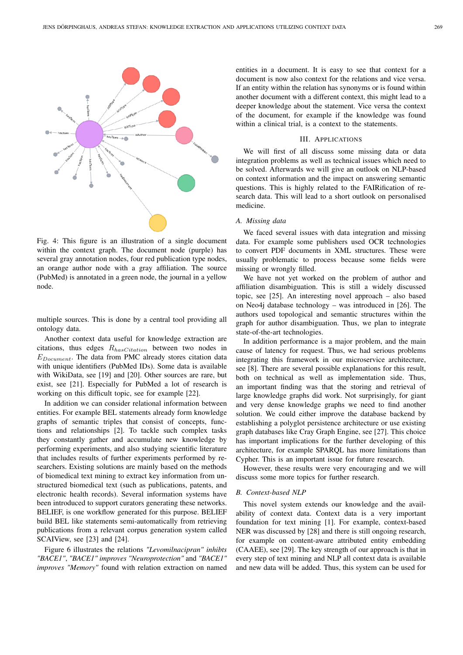

Fig. 4: This figure is an illustration of a single document within the context graph. The document node (purple) has several gray annotation nodes, four red publication type nodes, an orange author node with a gray affiliation. The source (PubMed) is annotated in a green node, the journal in a yellow node.

multiple sources. This is done by a central tool providing all ontology data.

Another context data useful for knowledge extraction are citations, thus edges  $R_{hasCitation}$  between two nodes in  $E_{Document}$ . The data from PMC already stores citation data with unique identifiers (PubMed IDs). Some data is available with WikiData, see [19] and [20]. Other sources are rare, but exist, see [21]. Especially for PubMed a lot of research is working on this difficult topic, see for example [22].

In addition we can consider relational information between entities. For example BEL statements already form knowledge graphs of semantic triples that consist of concepts, functions and relationships [2]. To tackle such complex tasks they constantly gather and accumulate new knowledge by performing experiments, and also studying scientific literature that includes results of further experiments performed by researchers. Existing solutions are mainly based on the methods of biomedical text mining to extract key information from unstructured biomedical text (such as publications, patents, and electronic health records). Several information systems have been introduced to support curators generating these networks. BELIEF, is one workflow generated for this purpose. BELIEF build BEL like statements semi-automatically from retrieving publications from a relevant corpus generation system called SCAIView, see [23] and [24].

Figure 6 illustrates the relations *"Levomilnacipran" inhibts "BACE1"*, *"BACE1" improves "Neuroprotection"* and *"BACE1" improves "Memory"* found with relation extraction on named entities in a document. It is easy to see that context for a document is now also context for the relations and vice versa. If an entity within the relation has synonyms or is found within another document with a different context, this might lead to a deeper knowledge about the statement. Vice versa the context of the document, for example if the knowledge was found within a clinical trial, is a context to the statements.

### III. APPLICATIONS

We will first of all discuss some missing data or data integration problems as well as technical issues which need to be solved. Afterwards we will give an outlook on NLP-based on context information and the impact on answering semantic questions. This is highly related to the FAIRification of research data. This will lead to a short outlook on personalised medicine.

# *A. Missing data*

We faced several issues with data integration and missing data. For example some publishers used OCR technologies to convert PDF documents in XML structures. These were usually problematic to process because some fields were missing or wrongly filled.

We have not yet worked on the problem of author and affiliation disambiguation. This is still a widely discussed topic, see [25]. An interesting novel approach – also based on Neo4j database technology – was introduced in [26]. The authors used topological and semantic structures within the graph for author disambiguation. Thus, we plan to integrate state-of-the-art technologies.

In addition performance is a major problem, and the main cause of latency for request. Thus, we had serious problems integrating this framework in our microservice architecture, see [8]. There are several possible explanations for this result, both on technical as well as implementation side. Thus, an important finding was that the storing and retrieval of large knowledge graphs did work. Not surprisingly, for giant and very dense knowledge graphs we need to find another solution. We could either improve the database backend by establishing a polyglot persistence architecture or use existing graph databases like Cray Graph Engine, see [27]. This choice has important implications for the further developing of this architecture, for example SPARQL has more limitations than Cypher. This is an important issue for future research.

However, these results were very encouraging and we will discuss some more topics for further research.

#### *B. Context-based NLP*

This novel system extends our knowledge and the availability of context data. Context data is a very important foundation for text mining [1]. For example, context-based NER was discussed by [28] and there is still ongoing research, for example on content-aware attributed entity embedding (CAAEE), see [29]. The key strength of our approach is that in every step of text mining and NLP all context data is available and new data will be added. Thus, this system can be used for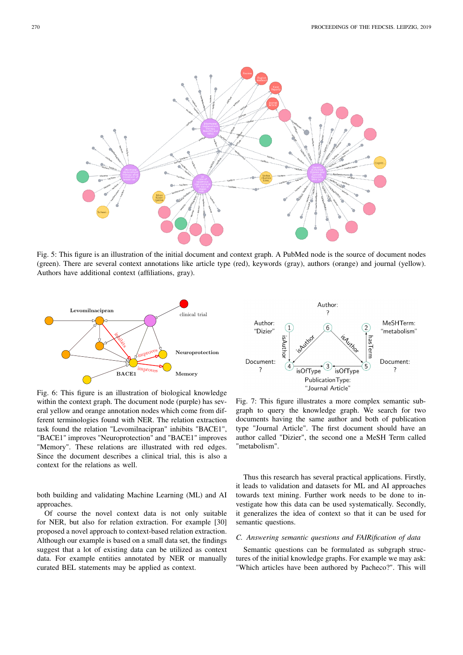

Fig. 5: This figure is an illustration of the initial document and context graph. A PubMed node is the source of document nodes (green). There are several context annotations like article type (red), keywords (gray), authors (orange) and journal (yellow). Authors have additional context (affiliations, gray).



Author: 7 Author: MeSHTerm: 6  $(1)$ "Dizier" "metabolism' isAuthor hasTerm Document: Document:  $\mathcal{E}$  $\overline{\cdot}$  $\overline{\cdot}$ isOfType isOfType Publication Type: "Journal Article'

Fig. 6: This figure is an illustration of biological knowledge within the context graph. The document node (purple) has several yellow and orange annotation nodes which come from different terminologies found with NER. The relation extraction task found the relation "Levomilnacipran" inhibits "BACE1", "BACE1" improves "Neuroprotection" and "BACE1" improves "Memory". These relations are illustrated with red edges. Since the document describes a clinical trial, this is also a context for the relations as well.

both building and validating Machine Learning (ML) and AI approaches.

Of course the novel context data is not only suitable for NER, but also for relation extraction. For example [30] proposed a novel approach to context-based relation extraction. Although our example is based on a small data set, the findings suggest that a lot of existing data can be utilized as context data. For example entities annotated by NER or manually curated BEL statements may be applied as context.

Fig. 7: This figure illustrates a more complex semantic subgraph to query the knowledge graph. We search for two documents having the same author and both of publication type "Journal Article". The first document should have an author called "Dizier", the second one a MeSH Term called "metabolism".

Thus this research has several practical applications. Firstly, it leads to validation and datasets for ML and AI approaches towards text mining. Further work needs to be done to investigate how this data can be used systematically. Secondly, it generalizes the idea of context so that it can be used for semantic questions.

# *C. Answering semantic questions and FAIRification of data*

Semantic questions can be formulated as subgraph structures of the initial knowledge graphs. For example we may ask: "Which articles have been authored by Pacheco?". This will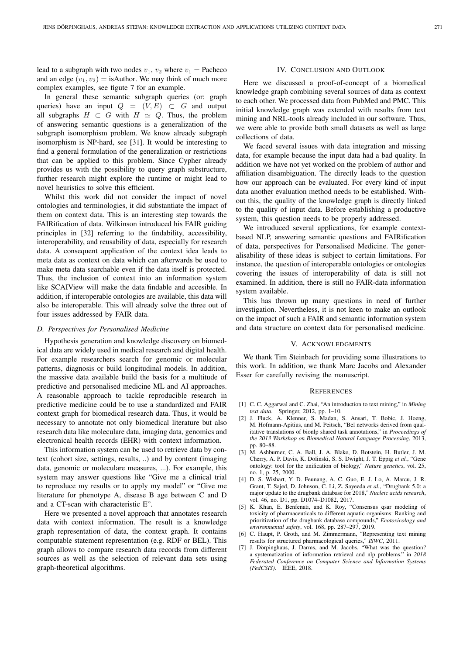lead to a subgraph with two nodes  $v_1$ ,  $v_2$  where  $v_1$  = Pacheco and an edge  $(v_1, v_2) =$  is Author. We may think of much more complex examples, see figute 7 for an example.

In general these semantic subgraph queries (or: graph queries) have an input  $Q = (V, E) \subset G$  and output all subgraphs  $H \subset G$  with  $H \simeq Q$ . Thus, the problem of answering semantic questions is a generalization of the subgraph isomorphism problem. We know already subgraph isomorphism is NP-hard, see [31]. It would be interesting to find a general formulation of the generalization or restrictions that can be applied to this problem. Since Cypher already provides us with the possibility to query graph substructure, further research might explore the runtime or might lead to novel heuristics to solve this efficient.

Whilst this work did not consider the impact of novel ontologies and terminologies, it did substantiate the impact of them on context data. This is an interesting step towards the FAIRification of data. Wilkinson introduced his FAIR guiding principles in [32] referring to the findability, accessibility, interoperability, and reusability of data, especially for research data. A consequent application of the context idea leads to meta data as context on data which can afterwards be used to make meta data searchable even if the data itself is protected. Thus, the inclusion of context into an information system like SCAIView will make the data findable and accesible. In addition, if interoperable ontologies are available, this data will also be interoperable. This will already solve the three out of four issues addressed by FAIR data.

# *D. Perspectives for Personalised Medicine*

Hypothesis generation and knowledge discovery on biomedical data are widely used in medical research and digital health. For example researchers search for genomic or molecular patterns, diagnosis or build longitudinal models. In addition, the massive data available build the basis for a multitude of predictive and personalised medicine ML and AI approaches. A reasonable approach to tackle reproducible research in predictive medicine could be to use a standardized and FAIR context graph for biomedical research data. Thus, it would be necessary to annotate not only biomedical literature but also research data like moleculare data, imaging data, genomics and electronical health records (EHR) with context information.

This information system can be used to retrieve data by context (cohort size, settings, results, ..) and by content (imaging data, genomic or moleculare measures, ...). For example, this system may answer questions like "Give me a clinical trial to reproduce my results or to apply my model" or "Give me literature for phenotype A, disease B age between C and D and a CT-scan with characteristic E".

Here we presented a novel approach that annotates research data with context information. The result is a knowledge graph representation of data, the context graph. It contains computable statement representation (e.g. RDF or BEL). This graph allows to compare research data records from different sources as well as the selection of relevant data sets using graph-theoretical algorithms.

#### IV. CONCLUSION AND OUTLOOK

Here we discussed a proof-of-concept of a biomedical knowledge graph combining several sources of data as context to each other. We processed data from PubMed and PMC. This initial knowledge graph was extended with results from text mining and NRL-tools already included in our software. Thus, we were able to provide both small datasets as well as large collections of data.

We faced several issues with data integration and missing data, for example because the input data had a bad quality. In addition we have not yet worked on the problem of author and affiliation disambiguation. The directly leads to the question how our approach can be evaluated. For every kind of input data another evaluation method needs to be established. Without this, the quality of the knowledge graph is directly linked to the quality of input data. Before establishing a productive system, this question needs to be properly addressed.

We introduced several applications, for example contextbased NLP, answering semantic questions and FAIRification of data, perspectives for Personalised Medicine. The generalisability of these ideas is subject to certain limitations. For instance, the question of interoperable ontologies or ontologies covering the issues of interoperability of data is still not examined. In addition, there is still no FAIR-data information system available.

This has thrown up many questions in need of further investigation. Nevertheless, it is not keen to make an outlook on the impact of such a FAIR and semantic information system and data structure on context data for personalised medicine.

#### V. ACKNOWLEDGMENTS

We thank Tim Steinbach for providing some illustrations to this work. In addition, we thank Marc Jacobs and Alexander Esser for carefully revising the manuscript.

#### **REFERENCES**

- [1] C. C. Aggarwal and C. Zhai, "An introduction to text mining," in *Mining text data*. Springer, 2012, pp. 1–10.
- [2] J. Fluck, A. Klenner, S. Madan, S. Ansari, T. Bobic, J. Hoeng, M. Hofmann-Apitius, and M. Peitsch, "Bel networks derived from qualitative translations of bionlp shared task annotations," in *Proceedings of the 2013 Workshop on Biomedical Natural Language Processing*, 2013, pp. 80–88.
- [3] M. Ashburner, C. A. Ball, J. A. Blake, D. Botstein, H. Butler, J. M. Cherry, A. P. Davis, K. Dolinski, S. S. Dwight, J. T. Eppig *et al.*, "Gene ontology: tool for the unification of biology," *Nature genetics*, vol. 25, no. 1, p. 25, 2000.
- [4] D. S. Wishart, Y. D. Feunang, A. C. Guo, E. J. Lo, A. Marcu, J. R. Grant, T. Sajed, D. Johnson, C. Li, Z. Sayeeda *et al.*, "Drugbank 5.0: a major update to the drugbank database for 2018," *Nucleic acids research*, vol. 46, no. D1, pp. D1074–D1082, 2017.
- [5] K. Khan, E. Benfenati, and K. Roy, "Consensus qsar modeling of toxicity of pharmaceuticals to different aquatic organisms: Ranking and prioritization of the drugbank database compounds," *Ecotoxicology and environmental safety*, vol. 168, pp. 287–297, 2019.
- [6] C. Haupt, P. Groth, and M. Zimmermann, "Representing text mining results for structured pharmacological queries," *ISWC*, 2011.
- [7] J. Dörpinghaus, J. Darms, and M. Jacobs, "What was the question? a systematization of information retrieval and nlp problems." in *2018 Federated Conference on Computer Science and Information Systems (FedCSIS)*. IEEE, 2018.